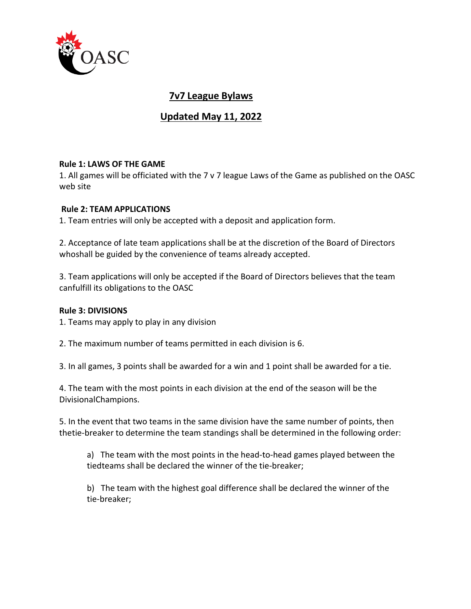

# **7v7 League Bylaws**

# **Updated May 11, 2022**

#### **Rule 1: LAWS OF THE GAME**

1. All games will be officiated with the 7 v 7 league Laws of the Game as published on the OASC web site

#### **Rule 2: TEAM APPLICATIONS**

1. Team entries will only be accepted with a deposit and application form.

2. Acceptance of late team applications shall be at the discretion of the Board of Directors whoshall be guided by the convenience of teams already accepted.

3. Team applications will only be accepted if the Board of Directors believes that the team canfulfill its obligations to the OASC

#### **Rule 3: DIVISIONS**

1. Teams may apply to play in any division

2. The maximum number of teams permitted in each division is 6.

3. In all games, 3 points shall be awarded for a win and 1 point shall be awarded for a tie.

4. The team with the most points in each division at the end of the season will be the DivisionalChampions.

5. In the event that two teams in the same division have the same number of points, then thetie-breaker to determine the team standings shall be determined in the following order:

a) The team with the most points in the head-to-head games played between the tiedteams shall be declared the winner of the tie-breaker;

b) The team with the highest goal difference shall be declared the winner of the tie-breaker;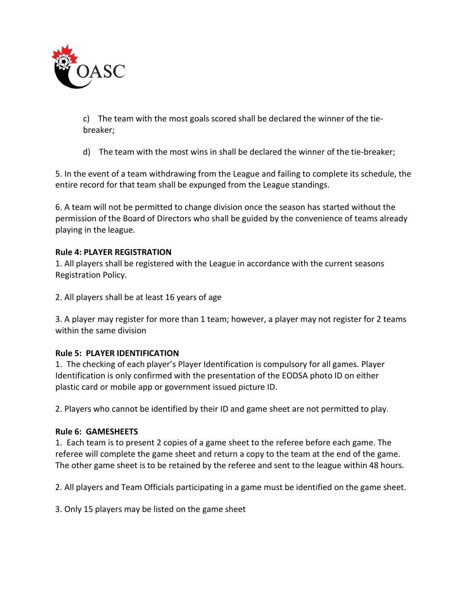

c) The team with the most goals scored shall be declared the winner of the tiebreaker;

d) The team with the most wins in shall be declared the winner of the tie-breaker;

5. In the event of a team withdrawing from the League and failing to complete its schedule, the entire record for that team shall be expunged from the League standings.

6. A team will not be permitted to change division once the season has started without the permission of the Board of Directors who shall be guided by the convenience of teams already playing in the league.

# **Rule 4: PLAYER REGISTRATION**

1. All players shall be registered with the League in accordance with the current seasons Registration Policy.

2. All players shall be at least 16 years of age

3. A player may register for more than 1 team; however, a player may not register for 2 teams within the same division

# **Rule 5: PLAYER IDENTIFICATION**

1. The checking of each player's Player Identification is compulsory for all games. Player Identification is only confirmed with the presentation of the EODSA photo ID on either plastic card or mobile app or government issued picture ID.

2. Players who cannot be identified by their ID and game sheet are not permitted to play.

#### **Rule 6: GAMESHEETS**

1. Each team is to present 2 copies of a game sheet to the referee before each game. The referee will complete the game sheet and return a copy to the team at the end of the game. The other game sheet is to be retained by the referee and sent to the league within 48 hours.

2. All players and Team Officials participating in a game must be identified on the game sheet.

3. Only 15 players may be listed on the game sheet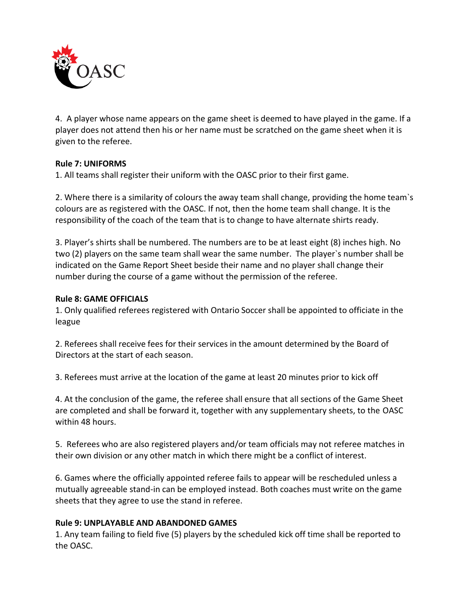

4. A player whose name appears on the game sheet is deemed to have played in the game. If a player does not attend then his or her name must be scratched on the game sheet when it is given to the referee.

## **Rule 7: UNIFORMS**

1. All teams shall register their uniform with the OASC prior to their first game.

2. Where there is a similarity of colours the away team shall change, providing the home team`s colours are as registered with the OASC. If not, then the home team shall change. It is the responsibility of the coach of the team that is to change to have alternate shirts ready.

3. Player's shirts shall be numbered. The numbers are to be at least eight (8) inches high. No two (2) players on the same team shall wear the same number. The player`s number shall be indicated on the Game Report Sheet beside their name and no player shall change their number during the course of a game without the permission of the referee.

## **Rule 8: GAME OFFICIALS**

1. Only qualified referees registered with Ontario Soccer shall be appointed to officiate in the league

2. Referees shall receive fees for their services in the amount determined by the Board of Directors at the start of each season.

3. Referees must arrive at the location of the game at least 20 minutes prior to kick off

4. At the conclusion of the game, the referee shall ensure that all sections of the Game Sheet are completed and shall be forward it, together with any supplementary sheets, to the OASC within 48 hours.

5. Referees who are also registered players and/or team officials may not referee matches in their own division or any other match in which there might be a conflict of interest.

6. Games where the officially appointed referee fails to appear will be rescheduled unless a mutually agreeable stand-in can be employed instead. Both coaches must write on the game sheets that they agree to use the stand in referee.

#### **Rule 9: UNPLAYABLE AND ABANDONED GAMES**

1. Any team failing to field five (5) players by the scheduled kick off time shall be reported to the OASC.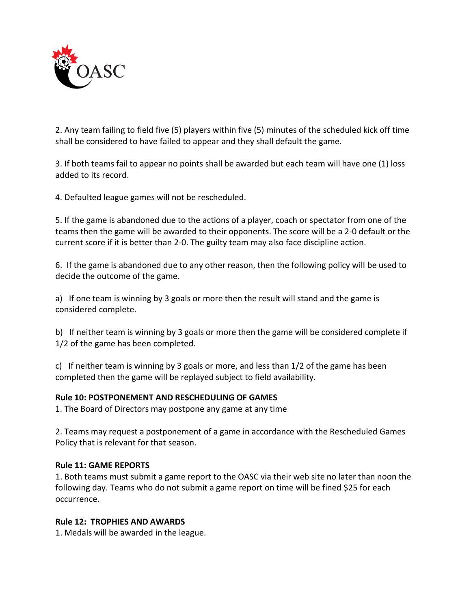

2. Any team failing to field five (5) players within five (5) minutes of the scheduled kick off time shall be considered to have failed to appear and they shall default the game.

3. If both teams fail to appear no points shall be awarded but each team will have one (1) loss added to its record.

4. Defaulted league games will not be rescheduled.

5. If the game is abandoned due to the actions of a player, coach or spectator from one of the teams then the game will be awarded to their opponents. The score will be a 2-0 default or the current score if it is better than 2-0. The guilty team may also face discipline action.

6. If the game is abandoned due to any other reason, then the following policy will be used to decide the outcome of the game.

a) If one team is winning by 3 goals or more then the result will stand and the game is considered complete.

b) If neither team is winning by 3 goals or more then the game will be considered complete if 1/2 of the game has been completed.

c) If neither team is winning by 3 goals or more, and less than 1/2 of the game has been completed then the game will be replayed subject to field availability.

#### **Rule 10: POSTPONEMENT AND RESCHEDULING OF GAMES**

1. The Board of Directors may postpone any game at any time

2. Teams may request a postponement of a game in accordance with the Rescheduled Games Policy that is relevant for that season.

### **Rule 11: GAME REPORTS**

1. Both teams must submit a game report to the OASC via their web site no later than noon the following day. Teams who do not submit a game report on time will be fined \$25 for each occurrence.

### **Rule 12: TROPHIES AND AWARDS**

1. Medals will be awarded in the league.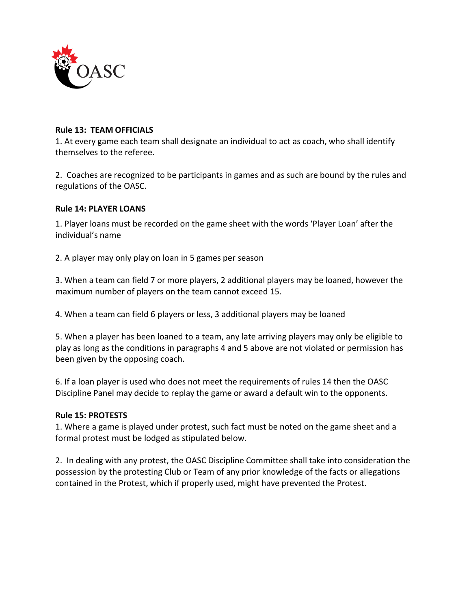

#### **Rule 13: TEAM OFFICIALS**

1. At every game each team shall designate an individual to act as coach, who shall identify themselves to the referee.

2. Coaches are recognized to be participants in games and as such are bound by the rules and regulations of the OASC.

#### **Rule 14: PLAYER LOANS**

1. Player loans must be recorded on the game sheet with the words 'Player Loan' after the individual's name

2. A player may only play on loan in 5 games per season

3. When a team can field 7 or more players, 2 additional players may be loaned, however the maximum number of players on the team cannot exceed 15.

4. When a team can field 6 players or less, 3 additional players may be loaned

5. When a player has been loaned to a team, any late arriving players may only be eligible to play as long as the conditions in paragraphs 4 and 5 above are not violated or permission has been given by the opposing coach.

6. If a loan player is used who does not meet the requirements of rules 14 then the OASC Discipline Panel may decide to replay the game or award a default win to the opponents.

#### **Rule 15: PROTESTS**

1. Where a game is played under protest, such fact must be noted on the game sheet and a formal protest must be lodged as stipulated below.

2. In dealing with any protest, the OASC Discipline Committee shall take into consideration the possession by the protesting Club or Team of any prior knowledge of the facts or allegations contained in the Protest, which if properly used, might have prevented the Protest.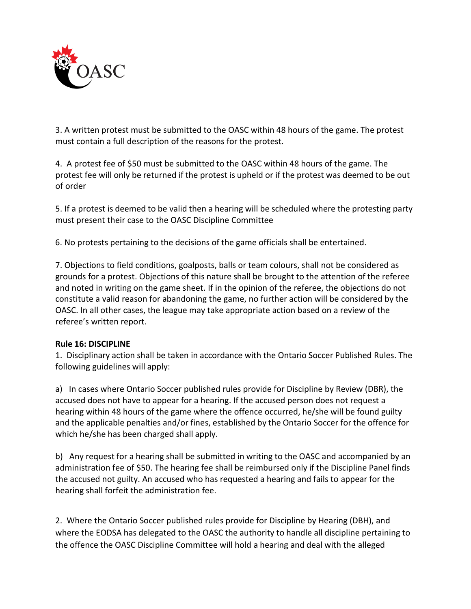

3. A written protest must be submitted to the OASC within 48 hours of the game. The protest must contain a full description of the reasons for the protest.

4. A protest fee of \$50 must be submitted to the OASC within 48 hours of the game. The protest fee will only be returned if the protest is upheld or if the protest was deemed to be out of order

5. If a protest is deemed to be valid then a hearing will be scheduled where the protesting party must present their case to the OASC Discipline Committee

6. No protests pertaining to the decisions of the game officials shall be entertained.

7. Objections to field conditions, goalposts, balls or team colours, shall not be considered as grounds for a protest. Objections of this nature shall be brought to the attention of the referee and noted in writing on the game sheet. If in the opinion of the referee, the objections do not constitute a valid reason for abandoning the game, no further action will be considered by the OASC. In all other cases, the league may take appropriate action based on a review of the referee's written report.

# **Rule 16: DISCIPLINE**

1. Disciplinary action shall be taken in accordance with the Ontario Soccer Published Rules. The following guidelines will apply:

a) In cases where Ontario Soccer published rules provide for Discipline by Review (DBR), the accused does not have to appear for a hearing. If the accused person does not request a hearing within 48 hours of the game where the offence occurred, he/she will be found guilty and the applicable penalties and/or fines, established by the Ontario Soccer for the offence for which he/she has been charged shall apply.

b) Any request for a hearing shall be submitted in writing to the OASC and accompanied by an administration fee of \$50. The hearing fee shall be reimbursed only if the Discipline Panel finds the accused not guilty. An accused who has requested a hearing and fails to appear for the hearing shall forfeit the administration fee.

2. Where the Ontario Soccer published rules provide for Discipline by Hearing (DBH), and where the EODSA has delegated to the OASC the authority to handle all discipline pertaining to the offence the OASC Discipline Committee will hold a hearing and deal with the alleged